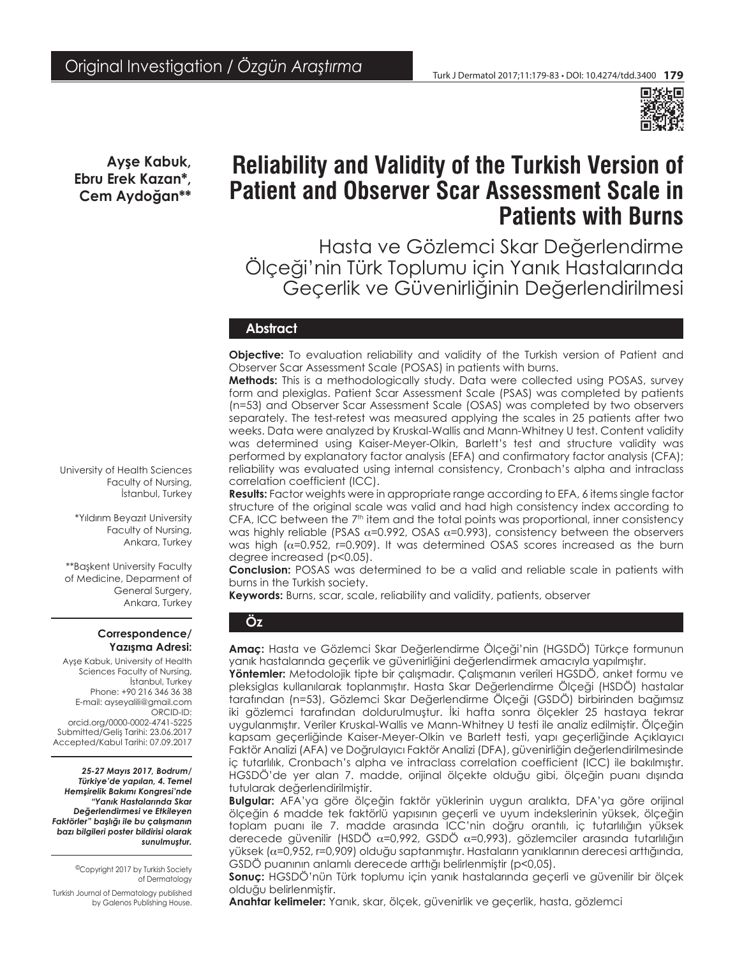

**Ayşe Kabuk, Ebru Erek Kazan\*, Cem Aydoğan\*\***

# **Reliability and Validity of the Turkish Version of Patient and Observer Scar Assessment Scale in Patients with Burns**

Hasta ve Gözlemci Skar Değerlendirme Ölçeği'nin Türk Toplumu için Yanık Hastalarında Geçerlik ve Güvenirliğinin Değerlendirilmesi

## **Abstract**

**Objective:** To evaluation reliability and validity of the Turkish version of Patient and Observer Scar Assessment Scale (POSAS) in patients with burns.

**Methods:** This is a methodologically study. Data were collected using POSAS, survey form and plexiglas. Patient Scar Assessment Scale (PSAS) was completed by patients (n=53) and Observer Scar Assessment Scale (OSAS) was completed by two observers separately. The test-retest was measured applying the scales in 25 patients after two weeks. Data were analyzed by Kruskal-Wallis and Mann-Whitney U test. Content validity was determined using Kaiser-Meyer-Olkin, Barlett's test and structure validity was performed by explanatory factor analysis (EFA) and confirmatory factor analysis (CFA); reliability was evaluated using internal consistency, Cronbach's alpha and intraclass correlation coefficient (ICC).

**Results:** Factor weights were in appropriate range according to EFA, 6 items single factor structure of the original scale was valid and had high consistency index according to CFA, ICC between the  $7<sup>th</sup>$  item and the total points was proportional, inner consistency was highly reliable (PSAS  $\alpha$ =0.992, OSAS  $\alpha$ =0.993), consistency between the observers was high ( $\alpha$ =0.952, r=0.909). It was determined OSAS scores increased as the burn degree increased (p<0.05).

**Conclusion:** POSAS was determined to be a valid and reliable scale in patients with burns in the Turkish society.

**Keywords:** Burns, scar, scale, reliability and validity, patients, observer

# **Öz**

**Amaç:** Hasta ve Gözlemci Skar Değerlendirme Ölçeği'nin (HGSDÖ) Türkçe formunun yanık hastalarında geçerlik ve güvenirliğini değerlendirmek amacıyla yapılmıştır.

**Yöntemler:** Metodolojik tipte bir çalışmadır. Çalışmanın verileri HGSDÖ, anket formu ve pleksiglas kullanılarak toplanmıştır. Hasta Skar Değerlendirme Ölçeği (HSDÖ) hastalar tarafından (n=53), Gözlemci Skar Değerlendirme Ölçeği (GSDÖ) birbirinden bağımsız iki gözlemci tarafından doldurulmuştur. İki hafta sonra ölçekler 25 hastaya tekrar uygulanmıştır. Veriler Kruskal-Wallis ve Mann-Whitney U testi ile analiz edilmiştir. Ölçeğin kapsam geçerliğinde Kaiser-Meyer-Olkin ve Barlett testi, yapı geçerliğinde Açıklayıcı Faktör Analizi (AFA) ve Doğrulayıcı Faktör Analizi (DFA), güvenirliğin değerlendirilmesinde iç tutarlılık, Cronbach's alpha ve intraclass correlation coefficient (ICC) ile bakılmıştır. HGSDÖ'de yer alan 7. madde, orijinal ölçekte olduğu gibi, ölçeğin puanı dışında tutularak değerlendirilmiştir.

**Bulgular:** AFA'ya göre ölçeğin faktör yüklerinin uygun aralıkta, DFA'ya göre orijinal ölçeğin 6 madde tek faktörlü yapısının geçerli ve uyum indekslerinin yüksek, ölçeğin toplam puanı ile 7. madde arasında ICC'nin doğru orantılı, iç tutarlılığın yüksek derecede güvenilir (HSDÖ  $\alpha$ =0,992, GSDÖ  $\alpha$ =0,993), gözlemciler arasında tutarlılığın yüksek (α=0,952, r=0,909) olduğu saptanmıştır. Hastaların yanıklarının derecesi arttığında, GSDÖ puanının anlamlı derecede arttığı belirlenmiştir (p<0,05).

**Sonuç:** HGSDÖ'nün Türk toplumu için yanık hastalarında geçerli ve güvenilir bir ölçek olduğu belirlenmiştir.

**Anahtar kelimeler:** Yanık, skar, ölçek, güvenirlik ve geçerlik, hasta, gözlemci

University of Health Sciences Faculty of Nursing, İstanbul, Turkey

> \*Yıldırım Beyazıt University Faculty of Nursing, Ankara, Turkey

\*\*Başkent University Faculty of Medicine, Deparment of General Surgery, Ankara, Turkey

#### **Correspondence/ Yazışma Adresi:**

Ayşe Kabuk, University of Health Sciences Faculty of Nursing, İstanbul, Turkey Phone: +90 216 346 36 38 E-mail: ayseyalili@gmail.com ORCID-ID: orcid.org/0000-0002-4741-5225 Submitted/Geliş Tarihi: 23.06.2017 Accepted/Kabul Tarihi: 07.09.2017

*25-27 Mayıs 2017, Bodrum/ Türkiye'de yapılan, 4. Temel Hemşirelik Bakımı Kongresi'nde "Yanık Hastalarında Skar Değerlendirmesi ve Etkileyen Faktörler" başlığı ile bu çalışmanın bazı bilgileri poster bildirisi olarak sunulmuştur.*

> ©Copyright 2017 by Turkish Society of Dermatology

Turkish Journal of Dermatology published by Galenos Publishing House.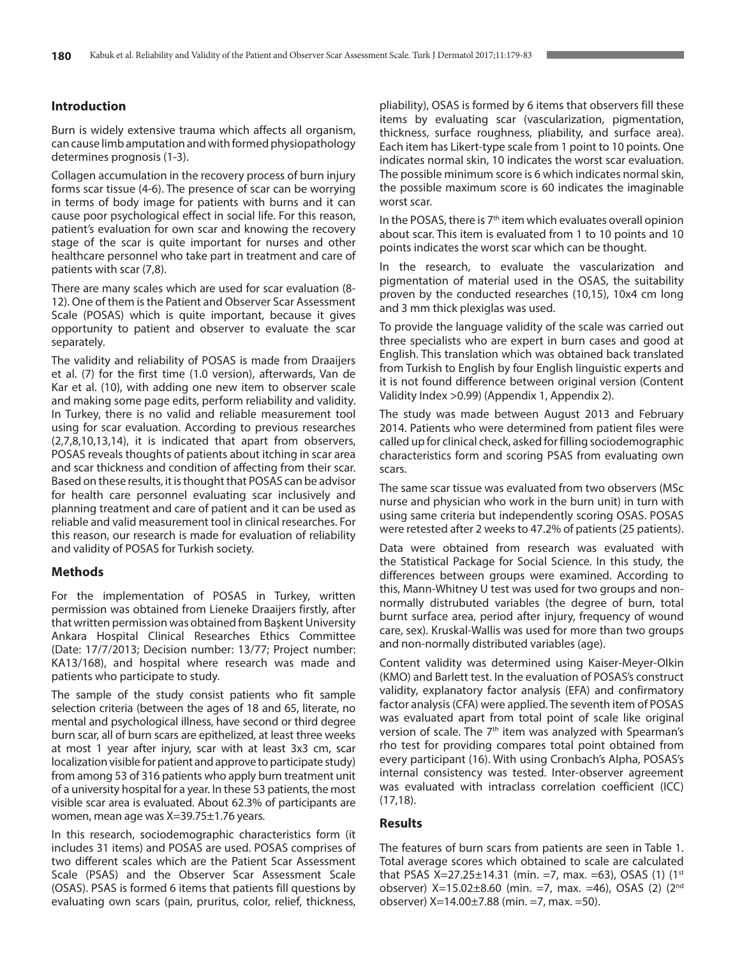# **Introduction**

Burn is widely extensive trauma which affects all organism, can cause limb amputation and with formed physiopathology determines prognosis (1-3).

Collagen accumulation in the recovery process of burn injury forms scar tissue (4-6). The presence of scar can be worrying in terms of body image for patients with burns and it can cause poor psychological effect in social life. For this reason, patient's evaluation for own scar and knowing the recovery stage of the scar is quite important for nurses and other healthcare personnel who take part in treatment and care of patients with scar (7,8).

There are many scales which are used for scar evaluation (8- 12). One of them is the Patient and Observer Scar Assessment Scale (POSAS) which is quite important, because it gives opportunity to patient and observer to evaluate the scar separately.

The validity and reliability of POSAS is made from Draaijers et al. (7) for the first time (1.0 version), afterwards, Van de Kar et al. (10), with adding one new item to observer scale and making some page edits, perform reliability and validity. In Turkey, there is no valid and reliable measurement tool using for scar evaluation. According to previous researches (2,7,8,10,13,14), it is indicated that apart from observers, POSAS reveals thoughts of patients about itching in scar area and scar thickness and condition of affecting from their scar. Based on these results, it is thought that POSAS can be advisor for health care personnel evaluating scar inclusively and planning treatment and care of patient and it can be used as reliable and valid measurement tool in clinical researches. For this reason, our research is made for evaluation of reliability and validity of POSAS for Turkish society.

# **Methods**

For the implementation of POSAS in Turkey, written permission was obtained from Lieneke Draaijers firstly, after that written permission was obtained from Başkent University Ankara Hospital Clinical Researches Ethics Committee (Date: 17/7/2013; Decision number: 13/77; Project number: KA13/168), and hospital where research was made and patients who participate to study.

The sample of the study consist patients who fit sample selection criteria (between the ages of 18 and 65, literate, no mental and psychological illness, have second or third degree burn scar, all of burn scars are epithelized, at least three weeks at most 1 year after injury, scar with at least 3x3 cm, scar localization visible for patient and approve to participate study) from among 53 of 316 patients who apply burn treatment unit of a university hospital for a year. In these 53 patients, the most visible scar area is evaluated. About 62.3% of participants are women, mean age was X=39.75±1.76 years.

In this research, sociodemographic characteristics form (it includes 31 items) and POSAS are used. POSAS comprises of two different scales which are the Patient Scar Assessment Scale (PSAS) and the Observer Scar Assessment Scale (OSAS). PSAS is formed 6 items that patients fill questions by evaluating own scars (pain, pruritus, color, relief, thickness,

pliability), OSAS is formed by 6 items that observers fill these items by evaluating scar (vascularization, pigmentation, thickness, surface roughness, pliability, and surface area). Each item has Likert-type scale from 1 point to 10 points. One indicates normal skin, 10 indicates the worst scar evaluation. The possible minimum score is 6 which indicates normal skin, the possible maximum score is 60 indicates the imaginable worst scar.

In the POSAS, there is  $7<sup>th</sup>$  item which evaluates overall opinion about scar. This item is evaluated from 1 to 10 points and 10 points indicates the worst scar which can be thought.

In the research, to evaluate the vascularization and pigmentation of material used in the OSAS, the suitability proven by the conducted researches (10,15), 10x4 cm long and 3 mm thick plexiglas was used.

To provide the language validity of the scale was carried out three specialists who are expert in burn cases and good at English. This translation which was obtained back translated from Turkish to English by four English linguistic experts and it is not found difference between original version (Content Validity Index >0.99) [\(Appendix 1,](http://cms.galenos.com.tr/SolvePark/Uploads/Files/541c4a615d3d4030968eed79d99c1873.pdf) [Appendix 2\)](http://cms.galenos.com.tr/SolvePark/Uploads/Files/70ee93423f054e0d815c7787e2a538ef.pdf).

The study was made between August 2013 and February 2014. Patients who were determined from patient files were called up for clinical check, asked for filling sociodemographic characteristics form and scoring PSAS from evaluating own scars.

The same scar tissue was evaluated from two observers (MSc nurse and physician who work in the burn unit) in turn with using same criteria but independently scoring OSAS. POSAS were retested after 2 weeks to 47.2% of patients (25 patients).

Data were obtained from research was evaluated with the Statistical Package for Social Science. In this study, the differences between groups were examined. According to this, Mann-Whitney U test was used for two groups and nonnormally distrubuted variables (the degree of burn, total burnt surface area, period after injury, frequency of wound care, sex). Kruskal-Wallis was used for more than two groups and non-normally distributed variables (age).

Content validity was determined using Kaiser-Meyer-Olkin (KMO) and Barlett test. In the evaluation of POSAS's construct validity, explanatory factor analysis (EFA) and confirmatory factor analysis (CFA) were applied. The seventh item of POSAS was evaluated apart from total point of scale like original version of scale. The 7<sup>th</sup> item was analyzed with Spearman's rho test for providing compares total point obtained from every participant (16). With using Cronbach's Alpha, POSAS's internal consistency was tested. Inter-observer agreement was evaluated with intraclass correlation coefficient (ICC) (17,18).

# **Results**

The features of burn scars from patients are seen in Table 1. Total average scores which obtained to scale are calculated that PSAS X=27.25±14.31 (min. =7, max. =63), OSAS (1) (1st observer) X=15.02±8.60 (min. =7, max. =46), OSAS (2) (2nd observer)  $X=14.00\pm7.88$  (min.  $=7$ , max.  $=50$ ).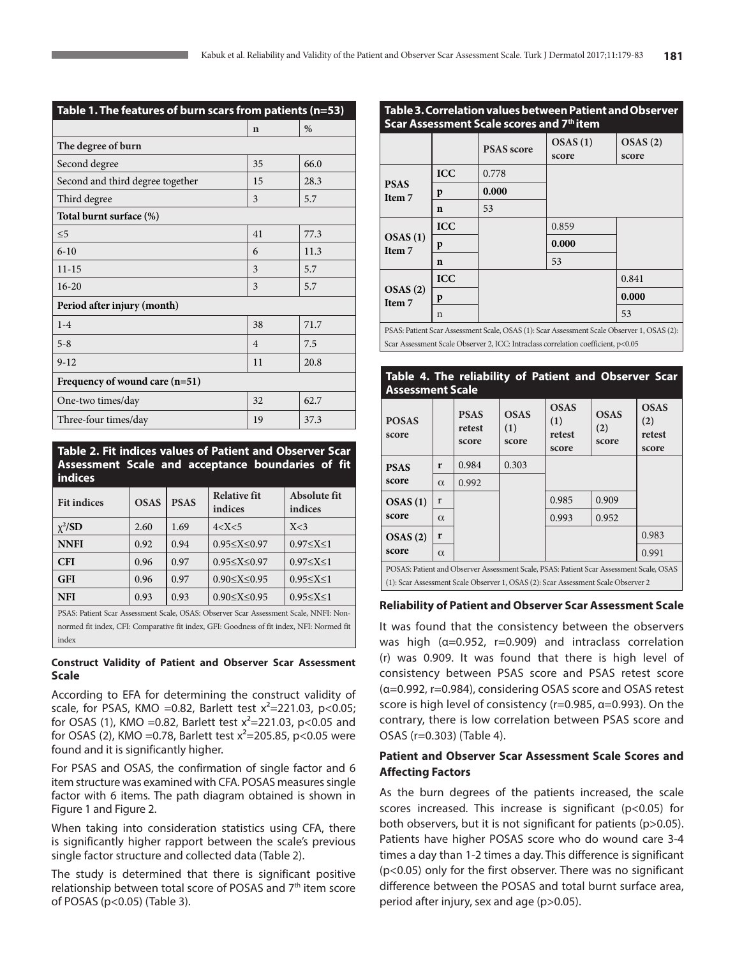| Table 1. The features of burn scars from patients (n=53) |                |      |  |  |
|----------------------------------------------------------|----------------|------|--|--|
|                                                          | $\mathbf n$    | $\%$ |  |  |
| The degree of burn                                       |                |      |  |  |
| Second degree                                            | 35             | 66.0 |  |  |
| Second and third degree together                         | 15             | 28.3 |  |  |
| Third degree                                             | 3              | 5.7  |  |  |
| Total burnt surface (%)                                  |                |      |  |  |
| $\leq 5$                                                 | 41             | 77.3 |  |  |
| $6 - 10$                                                 | 6              | 11.3 |  |  |
| $11 - 15$                                                | 3              | 5.7  |  |  |
| $16 - 20$                                                | 3              | 5.7  |  |  |
| Period after injury (month)                              |                |      |  |  |
| $1 - 4$                                                  | 38             | 71.7 |  |  |
| $5 - 8$                                                  | $\overline{4}$ | 7.5  |  |  |
| $9 - 12$                                                 | 11             | 20.8 |  |  |
| Frequency of wound care $(n=51)$                         |                |      |  |  |
| One-two times/day                                        | 32             | 62.7 |  |  |
| Three-four times/day                                     | 19             | 37.3 |  |  |

**Table 2. Fit indices values of Patient and Observer Scar Assessment Scale and acceptance boundaries of fit indices**

| <b>Fit indices</b> | <b>OSAS</b> | <b>PSAS</b> | <b>Relative fit</b><br>indices | Absolute fit<br>indices |
|--------------------|-------------|-------------|--------------------------------|-------------------------|
| $\chi^2$ /SD       | 2.60        | 1.69        | 4 < X < 5                      | X<3                     |
| <b>NNFI</b>        | 0.92        | 0.94        | $0.95 \le X \le 0.97$          | $0.97 \leq X \leq 1$    |
| <b>CFI</b>         | 0.96        | 0.97        | $0.95 \le X \le 0.97$          | $0.97 \le X \le 1$      |
| <b>GFI</b>         | 0.96        | 0.97        | $0.90 \le X \le 0.95$          | $0.95 \le X \le 1$      |
| <b>NFI</b>         | 0.93        | 0.93        | $0.90 \le X \le 0.95$          | $0.95 \le X \le 1$      |
|                    |             |             |                                |                         |

PSAS: Patient Scar Assessment Scale, OSAS: Observer Scar Assessment Scale, NNFI: Nonnormed fit index, CFI: Comparative fit index, GFI: Goodness of fit index, NFI: Normed fit index

## **Construct Validity of Patient and Observer Scar Assessment Scale**

According to EFA for determining the construct validity of scale, for PSAS, KMO = 0.82, Barlett test  $x^2$  = 221.03, p < 0.05; for OSAS (1), KMO = 0.82, Barlett test  $x^2$  = 221.03, p < 0.05 and for OSAS (2), KMO = 0.78, Barlett test  $x^2$  = 205.85, p < 0.05 were found and it is significantly higher.

For PSAS and OSAS, the confirmation of single factor and 6 item structure was examined with CFA. POSAS measures single factor with 6 items. The path diagram obtained is shown in Figure 1 and Figure 2.

When taking into consideration statistics using CFA, there is significantly higher rapport between the scale's previous single factor structure and collected data (Table 2).

The study is determined that there is significant positive relationship between total score of POSAS and 7<sup>th</sup> item score of POSAS (p<0.05) (Table 3).

## **Table 3. Correlation values between Patient and Observer Scar Assessment Scale scores and 7th item**

| <u>Star Assessment Stare stores and 7</u><br>                                              |             |                   |                  |                  |  |
|--------------------------------------------------------------------------------------------|-------------|-------------------|------------------|------------------|--|
|                                                                                            |             | <b>PSAS</b> score | OSAS(1)<br>score | OSAS(2)<br>score |  |
| <b>PSAS</b><br>Item 7                                                                      | <b>ICC</b>  | 0.778             |                  |                  |  |
|                                                                                            | p           | 0.000             |                  |                  |  |
|                                                                                            | n           | 53                |                  |                  |  |
| OSAS(1)<br>Item 7                                                                          | <b>ICC</b>  |                   | 0.859            |                  |  |
|                                                                                            | p           |                   | 0.000            |                  |  |
|                                                                                            | $\mathbf n$ |                   | 53               |                  |  |
| OSAS(2)<br>Item 7                                                                          | <b>ICC</b>  |                   |                  | 0.841            |  |
|                                                                                            | p           |                   |                  | 0.000            |  |
|                                                                                            | n           |                   |                  | 53               |  |
| PSAS: Patient Scar Assessment Scale, OSAS (1): Scar Assessment Scale Observer 1, OSAS (2): |             |                   |                  |                  |  |

Scar Assessment Scale Observer 2, ICC: Intraclass correlation coefficient, p<0.05

## **Table 4. The reliability of Patient and Observer Scar Assessment Scale**

| <b>POSAS</b><br>score                                                                                                                                                        |          | <b>PSAS</b><br>retest<br>score | <b>OSAS</b><br>(1)<br>score | <b>OSAS</b><br>(1)<br>retest<br>score | <b>OSAS</b><br>(2)<br>score | <b>OSAS</b><br>(2)<br>retest<br>score |
|------------------------------------------------------------------------------------------------------------------------------------------------------------------------------|----------|--------------------------------|-----------------------------|---------------------------------------|-----------------------------|---------------------------------------|
| <b>PSAS</b>                                                                                                                                                                  | r        | 0.984                          | 0.303                       |                                       |                             |                                       |
| score                                                                                                                                                                        | $\alpha$ | 0.992                          |                             |                                       |                             |                                       |
| OSAS(1)                                                                                                                                                                      | r        |                                |                             | 0.985                                 | 0.909                       |                                       |
| score                                                                                                                                                                        | $\alpha$ |                                |                             | 0.993                                 | 0.952                       |                                       |
| OSAS(2)                                                                                                                                                                      | r        |                                |                             |                                       |                             | 0.983                                 |
| score                                                                                                                                                                        | $\alpha$ |                                |                             |                                       |                             | 0.991                                 |
| POSAS: Patient and Observer Assessment Scale, PSAS: Patient Scar Assessment Scale, OSAS<br>(1): Scar Assessment Scale Observer 1, OSAS (2): Scar Assessment Scale Observer 2 |          |                                |                             |                                       |                             |                                       |

## **Reliability of Patient and Observer Scar Assessment Scale**

It was found that the consistency between the observers was high (α=0.952, r=0.909) and intraclass correlation (r) was 0.909. It was found that there is high level of consistency between PSAS score and PSAS retest score (α=0.992, r=0.984), considering OSAS score and OSAS retest score is high level of consistency (r=0.985, α=0.993). On the contrary, there is low correlation between PSAS score and OSAS (r=0.303) (Table 4).

# **Patient and Observer Scar Assessment Scale Scores and Affecting Factors**

As the burn degrees of the patients increased, the scale scores increased. This increase is significant (p<0.05) for both observers, but it is not significant for patients (p>0.05). Patients have higher POSAS score who do wound care 3-4 times a day than 1-2 times a day. This difference is significant (p<0.05) only for the first observer. There was no significant difference between the POSAS and total burnt surface area, period after injury, sex and age (p>0.05).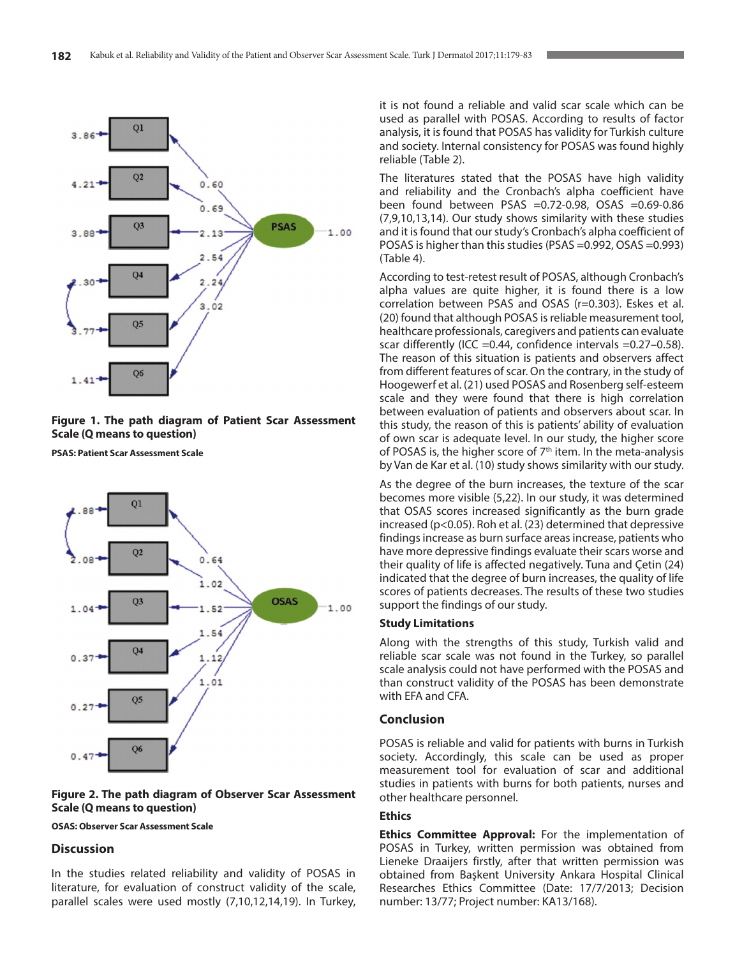

## **Figure 1. The path diagram of Patient Scar Assessment Scale (Q means to question)**

**PSAS: Patient Scar Assessment Scale**



#### **Figure 2. The path diagram of Observer Scar Assessment Scale (Q means to question)**

## **OSAS: Observer Scar Assessment Scale**

## **Discussion**

In the studies related reliability and validity of POSAS in literature, for evaluation of construct validity of the scale, parallel scales were used mostly (7,10,12,14,19). In Turkey, it is not found a reliable and valid scar scale which can be used as parallel with POSAS. According to results of factor analysis, it is found that POSAS has validity for Turkish culture and society. Internal consistency for POSAS was found highly reliable (Table 2).

The literatures stated that the POSAS have high validity and reliability and the Cronbach's alpha coefficient have been found between PSAS =0.72-0.98, OSAS =0.69-0.86 (7,9,10,13,14). Our study shows similarity with these studies and it is found that our study's Cronbach's alpha coefficient of POSAS is higher than this studies (PSAS =0.992, OSAS =0.993) (Table 4).

According to test-retest result of POSAS, although Cronbach's alpha values are quite higher, it is found there is a low correlation between PSAS and OSAS (r=0.303). Eskes et al. (20) found that although POSAS is reliable measurement tool, healthcare professionals, caregivers and patients can evaluate scar differently (ICC =0.44, confidence intervals =0.27-0.58). The reason of this situation is patients and observers affect from different features of scar. On the contrary, in the study of Hoogewerf et al. (21) used POSAS and Rosenberg self-esteem scale and they were found that there is high correlation between evaluation of patients and observers about scar. In this study, the reason of this is patients' ability of evaluation of own scar is adequate level. In our study, the higher score of POSAS is, the higher score of  $7<sup>th</sup>$  item. In the meta-analysis by Van de Kar et al. (10) study shows similarity with our study.

As the degree of the burn increases, the texture of the scar becomes more visible (5,22). In our study, it was determined that OSAS scores increased significantly as the burn grade increased (p<0.05). Roh et al. (23) determined that depressive findings increase as burn surface areas increase, patients who have more depressive findings evaluate their scars worse and their quality of life is affected negatively. Tuna and Çetin (24) indicated that the degree of burn increases, the quality of life scores of patients decreases. The results of these two studies support the findings of our study.

#### **Study Limitations**

Along with the strengths of this study, Turkish valid and reliable scar scale was not found in the Turkey, so parallel scale analysis could not have performed with the POSAS and than construct validity of the POSAS has been demonstrate with EFA and CFA.

## **Conclusion**

POSAS is reliable and valid for patients with burns in Turkish society. Accordingly, this scale can be used as proper measurement tool for evaluation of scar and additional studies in patients with burns for both patients, nurses and other healthcare personnel.

#### **Ethics**

**Ethics Committee Approval:** For the implementation of POSAS in Turkey, written permission was obtained from Lieneke Draaijers firstly, after that written permission was obtained from Başkent University Ankara Hospital Clinical Researches Ethics Committee (Date: 17/7/2013; Decision number: 13/77; Project number: KA13/168).